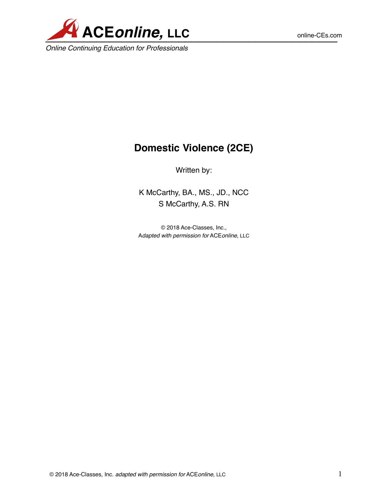

# **Domestic Violence (2CE)**

Written by:

K McCarthy, BA., MS., JD., NCC S McCarthy, A.S. RN

© 2018 Ace-Classes, Inc., A*dapted with permission for* ACE*online,* LLC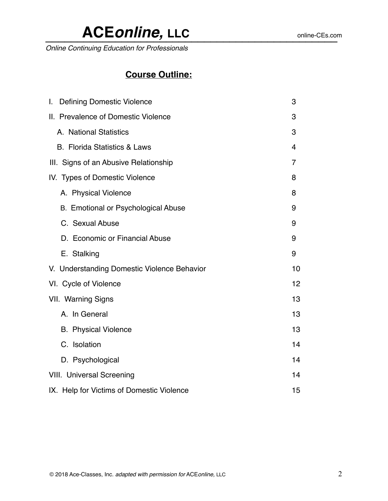*Online Continuing Education for Professionals*

# **Course Outline:**

| I. Defining Domestic Violence               | 3  |
|---------------------------------------------|----|
| II. Prevalence of Domestic Violence         | 3  |
| A. National Statistics                      | 3  |
| <b>B. Florida Statistics &amp; Laws</b>     | 4  |
| III. Signs of an Abusive Relationship       | 7  |
| IV. Types of Domestic Violence              | 8  |
| A. Physical Violence                        | 8  |
| <b>B. Emotional or Psychological Abuse</b>  | 9  |
| C. Sexual Abuse                             | 9  |
| D. Economic or Financial Abuse              | 9  |
| E. Stalking                                 | 9  |
| V. Understanding Domestic Violence Behavior | 10 |
| VI. Cycle of Violence                       | 12 |
| <b>VII. Warning Signs</b>                   | 13 |
| A. In General                               | 13 |
| <b>B.</b> Physical Violence                 | 13 |
| C. Isolation                                | 14 |
| D. Psychological                            | 14 |
| <b>VIII. Universal Screening</b>            | 14 |
| IX. Help for Victims of Domestic Violence   | 15 |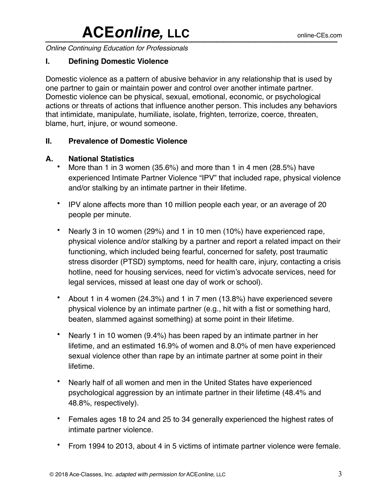*Online Continuing Education for Professionals*

### **I. Defining Domestic Violence**

Domestic violence as a pattern of abusive behavior in any relationship that is used by one partner to gain or maintain power and control over another intimate partner. Domestic violence can be physical, sexual, emotional, economic, or psychological actions or threats of actions that influence another person. This includes any behaviors that intimidate, manipulate, humiliate, isolate, frighten, terrorize, coerce, threaten, blame, hurt, injure, or wound someone.

#### **II. Prevalence of Domestic Violence**

#### **A. National Statistics**

- More than 1 in 3 women (35.6%) and more than 1 in 4 men (28.5%) have experienced Intimate Partner Violence "IPV" that included rape, physical violence and/or stalking by an intimate partner in their lifetime.
- IPV alone affects more than 10 million people each year, or an average of 20 people per minute.
- Nearly 3 in 10 women (29%) and 1 in 10 men (10%) have experienced rape, physical violence and/or stalking by a partner and report a related impact on their functioning, which included being fearful, concerned for safety, post traumatic stress disorder (PTSD) symptoms, need for health care, injury, contacting a crisis hotline, need for housing services, need for victim's advocate services, need for legal services, missed at least one day of work or school).
- About 1 in 4 women (24.3%) and 1 in 7 men (13.8%) have experienced severe physical violence by an intimate partner (e.g., hit with a fist or something hard, beaten, slammed against something) at some point in their lifetime.
- Nearly 1 in 10 women (9.4%) has been raped by an intimate partner in her lifetime, and an estimated 16.9% of women and 8.0% of men have experienced sexual violence other than rape by an intimate partner at some point in their lifetime.
- Nearly half of all women and men in the United States have experienced psychological aggression by an intimate partner in their lifetime (48.4% and 48.8%, respectively).
- Females ages 18 to 24 and 25 to 34 generally experienced the highest rates of intimate partner violence.
- From 1994 to 2013, about 4 in 5 victims of intimate partner violence were female.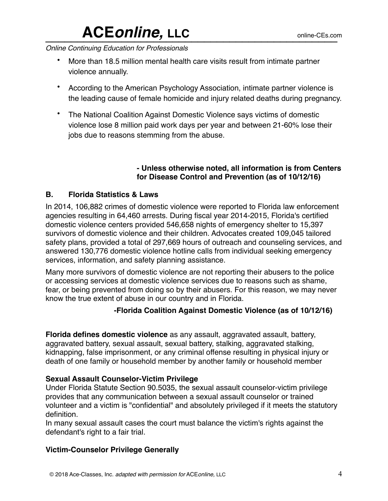*Online Continuing Education for Professionals*

- More than 18.5 million mental health care visits result from intimate partner violence annually.
- According to the American Psychology Association, intimate partner violence is the leading cause of female homicide and injury related deaths during pregnancy.
- The National Coalition Against Domestic Violence says victims of domestic violence lose 8 million paid work days per year and between 21-60% lose their jobs due to reasons stemming from the abuse.

# **- Unless otherwise noted, all information is from Centers for Disease Control and Prevention (as of 10/12/16)**

# **B. Florida Statistics & Laws**

In 2014, 106,882 crimes of domestic violence were reported to Florida law enforcement agencies resulting in 64,460 arrests. During fiscal year 2014-2015, Florida's certified domestic violence centers provided 546,658 nights of emergency shelter to 15,397 survivors of domestic violence and their children. Advocates created 109,045 tailored safety plans, provided a total of 297,669 hours of outreach and counseling services, and answered 130,776 domestic violence hotline calls from individual seeking emergency services, information, and safety planning assistance.

Many more survivors of domestic violence are not reporting their abusers to the police or accessing services at domestic violence services due to reasons such as shame, fear, or being prevented from doing so by their abusers. For this reason, we may never know the true extent of abuse in our country and in Florida.

# **-Florida Coalition Against Domestic Violence (as of 10/12/16)**

**Florida defines domestic violence** as any assault, aggravated assault, battery, aggravated battery, sexual assault, sexual battery, stalking, aggravated stalking, kidnapping, false imprisonment, or any criminal offense resulting in physical injury or death of one family or household member by another family or household member

## **Sexual Assault Counselor-Victim Privilege**

Under Florida Statute Section 90.5035, the sexual assault counselor-victim privilege provides that any communication between a sexual assault counselor or trained volunteer and a victim is "confidential" and absolutely privileged if it meets the statutory definition.

In many sexual assault cases the court must balance the victim's rights against the defendant's right to a fair trial.

## **Victim-Counselor Privilege Generally**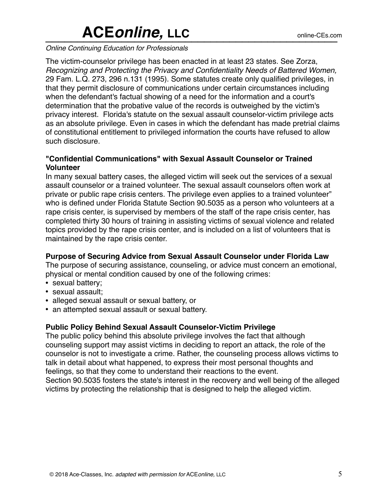*Online Continuing Education for Professionals*

The victim-counselor privilege has been enacted in at least 23 states. See Zorza, *Recognizing and Protecting the Privacy and Confidentiality Needs of Battered Women,* 29 Fam. L.Q. 273, 296 n.131 (1995). Some statutes create only qualified privileges, in that they permit disclosure of communications under certain circumstances including when the defendant's factual showing of a need for the information and a court's determination that the probative value of the records is outweighed by the victim's privacy interest. Florida's statute on the sexual assault counselor-victim privilege acts as an absolute privilege. Even in cases in which the defendant has made pretrial claims of constitutional entitlement to privileged information the courts have refused to allow such disclosure.

#### **"Confidential Communications" with Sexual Assault Counselor or Trained Volunteer**

In many sexual battery cases, the alleged victim will seek out the services of a sexual assault counselor or a trained volunteer. The sexual assault counselors often work at private or public rape crisis centers. The privilege even applies to a trained volunteer" who is defined under Florida Statute Section 90.5035 as a person who volunteers at a rape crisis center, is supervised by members of the staff of the rape crisis center, has completed thirty 30 hours of training in assisting victims of sexual violence and related topics provided by the rape crisis center, and is included on a list of volunteers that is maintained by the rape crisis center.

## **Purpose of Securing Advice from Sexual Assault Counselor under Florida Law**

The purpose of securing assistance, counseling, or advice must concern an emotional, physical or mental condition caused by one of the following crimes:

- sexual battery;
- sexual assault;
- alleged sexual assault or sexual battery, or
- an attempted sexual assault or sexual battery.

## **Public Policy Behind Sexual Assault Counselor-Victim Privilege**

The public policy behind this absolute privilege involves the fact that although counseling support may assist victims in deciding to report an attack, the role of the counselor is not to investigate a crime. Rather, the counseling process allows victims to talk in detail about what happened, to express their most personal thoughts and feelings, so that they come to understand their reactions to the event.

Section 90.5035 fosters the state's interest in the recovery and well being of the alleged victims by protecting the relationship that is designed to help the alleged victim.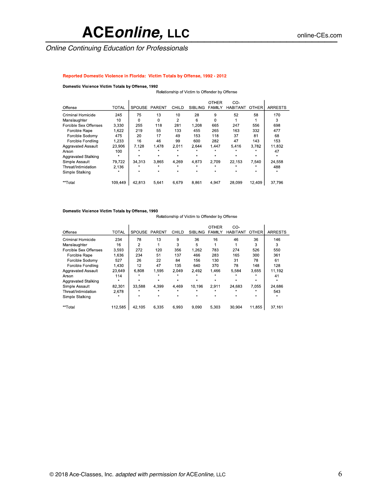## *Online Continuing Education for Professionals*

#### Reported Domestic Violence in Florida: Victim Totals by Offense, 1992 - 2012

#### Domestic Violence Victim Totals by Offense, 1992

Relationship of Victim to Offender by Offense

| Offense               | TOTAL   | <b>SPOUSE</b> | PARENT   | CHILD          | SIBLING | <b>OTHER</b><br><b>FAMILY</b> | CO-<br><b>HABITANT</b> | <b>OTHER</b> | <b>ARRESTS</b> |
|-----------------------|---------|---------------|----------|----------------|---------|-------------------------------|------------------------|--------------|----------------|
|                       |         |               |          |                |         |                               |                        |              |                |
| Criminal Homicide     | 245     | 75            | 13       | 10             | 28      | 9                             | 52                     | 58           | 170            |
| Manslaughter          | 10      | $\Omega$      | $\Omega$ | $\overline{c}$ | 6       | $\Omega$                      |                        |              | 3              |
| Forcible Sex Offenses | 3.330   | 255           | 118      | 281            | 1,208   | 665                           | 247                    | 556          | 698            |
| Forcible Rape         | 1,622   | 219           | 55       | 133            | 455     | 265                           | 163                    | 332          | 477            |
| Forcible Sodomy       | 475     | 20            | 17       | 49             | 153     | 118                           | 37                     | 81           | 68             |
| Forcible Fondling     | 1,233   | 16            | 46       | 99             | 600     | 282                           | 47                     | 143          | 153            |
| Aggravated Assault    | 23.906  | 7,128         | 1.478    | 2.011          | 2.644   | 1.447                         | 5,416                  | 3.782        | 11.832         |
| Arson                 | 100     |               |          |                |         |                               |                        |              | 47             |
| Aggravated Stalking   | $\star$ | $\star$       | $\star$  | $\star$        | $\star$ | $\star$                       | $\star$                | $\star$      | $\star$        |
| Simple Assault        | 79.722  | 34.313        | 3.865    | 4.269          | 4.873   | 2.709                         | 22.153                 | 7.540        | 24.558         |
| Threat/Intimidation   | 2.136   |               | $\star$  | $\star$        | $\star$ | $\star$                       | ٠                      | ٠            | 488            |
| Simple Stalking       |         | $\star$       | $\star$  | $\star$        | $\star$ | $\star$                       | $\star$                | ٠            | $\star$        |
| **Total               | 109,449 | 42,813        | 5,641    | 6,679          | 8,861   | 4,947                         | 28,099                 | 12,409       | 37,796         |

#### Domestic Violence Victim Totals by Offense, 1993

 $\ddot{\phantom{a}}$ 

#### Relationship of Victim to Offender by Offense

|                       |         |               |              |         |                | OTHER         | CO-             |              |                |
|-----------------------|---------|---------------|--------------|---------|----------------|---------------|-----------------|--------------|----------------|
| Offense               | TOTAL   | <b>SPOUSE</b> | PARENT       | CHILD   | <b>SIBLING</b> | <b>FAMILY</b> | <b>HABITANT</b> | <b>OTHER</b> | <b>ARRESTS</b> |
| Criminal Homicide     | 234     | 78            | 13           | 9       | 36             | 16            | 46              | 36           | 146            |
| Manslaughter          | 16      | 2             |              | 3       | 5              |               |                 | 3            | 3              |
| Forcible Sex Offenses | 3.593   | 272           | 120          | 356     | 1.262          | 783           | 274             | 526          | 550            |
| Forcible Rape         | 1.636   | 234           | 51           | 137     | 466            | 283           | 165             | 300          | 361            |
| Forcible Sodomy       | 527     | 26            | 22           | 84      | 156            | 130           | 31              | 78           | 61             |
| Forcible Fondling     | 1,430   | 12            | 47           | 135     | 640            | 370           | 78              | 148          | 128            |
| Aggravated Assault    | 23,649  | 6,808         | 1.595        | 2.049   | 2.492          | 1.466         | 5,584           | 3,655        | 11,192         |
| Arson                 | 114     |               |              |         |                |               |                 |              | 41             |
| Aggravated Stalking   | $\star$ |               | $\mathbf{r}$ |         | $\star$        | $\star$       |                 | $\bullet$    |                |
| Simple Assault        | 82.301  | 33.588        | 4.399        | 4.469   | 10.196         | 2.911         | 24.683          | 7.055        | 24.686         |
| Threat/Intimidation   | 2,678   |               |              |         |                |               |                 |              | 543            |
| Simple Stalking       | $\star$ | ٠             | $\star$      | $\star$ | $\star$        | $\star$       |                 | $\star$      | $\star$        |
| **Total               | 112.585 | 42.105        | 6.335        | 6.993   | 9.090          | 5.303         | 30,904          | 11,855       | 37,161         |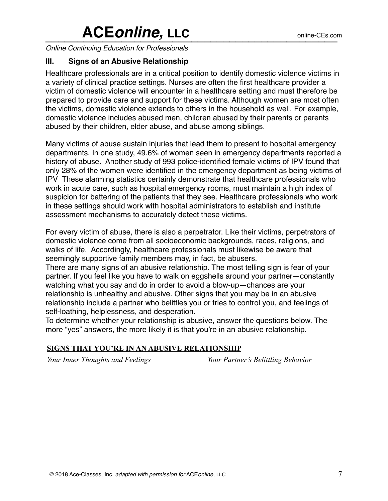*Online Continuing Education for Professionals*

## **III. Signs of an Abusive Relationship**

Healthcare professionals are in a critical position to identify domestic violence victims in a variety of clinical practice settings. Nurses are often the first healthcare provider a victim of domestic violence will encounter in a healthcare setting and must therefore be prepared to provide care and support for these victims. Although women are most often the victims, domestic violence extends to others in the household as well. For example, domestic violence includes abused men, children abused by their parents or parents abused by their children, elder abuse, and abuse among siblings.

Many victims of abuse sustain injuries that lead them to present to hospital emergency departments. In one study, 49.6% of women seen in emergency departments reported a history of abuse. Another study of 993 police-identified female victims of IPV found that only 28% of the women were identified in the emergency department as being victims of IPV These alarming statistics certainly demonstrate that healthcare professionals who work in acute care, such as hospital emergency rooms, must maintain a high index of suspicion for battering of the patients that they see. Healthcare professionals who work in these settings should work with hospital administrators to establish and institute assessment mechanisms to accurately detect these victims.

For every victim of abuse, there is also a perpetrator. Like their victims, perpetrators of domestic violence come from all socioeconomic backgrounds, races, religions, and walks of life. Accordingly, healthcare professionals must likewise be aware that seemingly supportive family members may, in fact, be abusers.

There are many signs of an abusive relationship. The most telling sign is fear of your partner. If you feel like you have to walk on eggshells around your partner—constantly watching what you say and do in order to avoid a blow-up—chances are your relationship is unhealthy and abusive. Other signs that you may be in an abusive relationship include a partner who belittles you or tries to control you, and feelings of self-loathing, helplessness, and desperation.

To determine whether your relationship is abusive, answer the questions below. The more "yes" answers, the more likely it is that you're in an abusive relationship.

## **SIGNS THAT YOU'RE IN AN ABUSIVE RELATIONSHIP**

*Your Inner Thoughts and Feelings Your Partner's Belittling Behavior*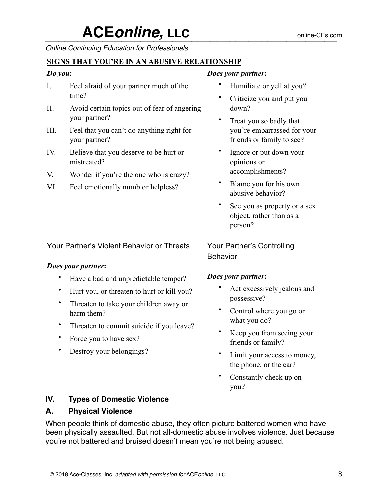*Online Continuing Education for Professionals*

#### **SIGNS THAT YOU'RE IN AN ABUSIVE RELATIONSHIP**

#### *Do you***:**

- I. Feel afraid of your partner much of the time?
- II. Avoid certain topics out of fear of angering your partner?
- III. Feel that you can't do anything right for your partner?
- IV. Believe that you deserve to be hurt or mistreated?
- V. Wonder if you're the one who is crazy?
- VI. Feel emotionally numb or helpless?

#### Your Partner's Violent Behavior or Threats

#### *Does your partner***:**

- Have a bad and unpredictable temper?
- Hurt you, or threaten to hurt or kill you?
- Threaten to take your children away or harm them?
- Threaten to commit suicide if you leave?
- Force you to have sex?
- Destroy your belongings?

#### *Does your partner***:**

- Humiliate or yell at you?
- Criticize you and put you down?
- Treat you so badly that you're embarrassed for your friends or family to see?
- Ignore or put down your opinions or accomplishments?
- Blame you for his own abusive behavior?
- See you as property or a sex object, rather than as a person?

## Your Partner's Controlling **Behavior**

#### *Does your partner***:**

- Act excessively jealous and possessive?
- Control where you go or what you do?
- Keep you from seeing your friends or family?
- Limit your access to money, the phone, or the car?
- Constantly check up on you?

#### **IV. Types of Domestic Violence**

#### **A. Physical Violence**

When people think of domestic abuse, they often picture battered women who have been physically assaulted. But not all-domestic abuse involves violence. Just because you're not battered and bruised doesn't mean you're not being abused.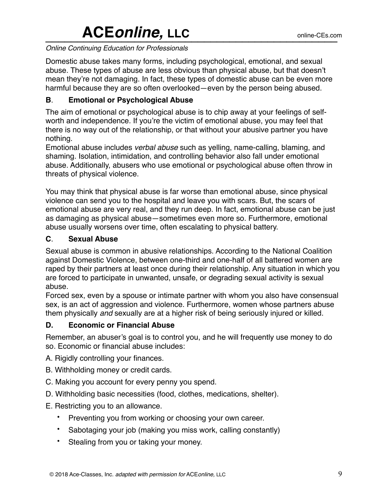#### *Online Continuing Education for Professionals*

Domestic abuse takes many forms, including psychological, emotional, and sexual abuse. These types of abuse are less obvious than physical abuse, but that doesn't mean they're not damaging. In fact, these types of domestic abuse can be even more harmful because they are so often overlooked—even by the person being abused.

## **B**. **Emotional or Psychological Abuse**

The aim of emotional or psychological abuse is to chip away at your feelings of selfworth and independence. If you're the victim of emotional abuse, you may feel that there is no way out of the relationship, or that without your abusive partner you have nothing.

Emotional abuse includes *verbal abuse* such as yelling, name-calling, blaming, and shaming. Isolation, intimidation, and controlling behavior also fall under emotional abuse. Additionally, abusers who use emotional or psychological abuse often throw in threats of physical violence.

You may think that physical abuse is far worse than emotional abuse, since physical violence can send you to the hospital and leave you with scars. But, the scars of emotional abuse are very real, and they run deep. In fact, emotional abuse can be just as damaging as physical abuse—sometimes even more so. Furthermore, emotional abuse usually worsens over time, often escalating to physical battery.

## **C**. **Sexual Abuse**

Sexual abuse is common in abusive relationships. According to the National Coalition against Domestic Violence, between one-third and one-half of all battered women are raped by their partners at least once during their relationship. Any situation in which you are forced to participate in unwanted, unsafe, or degrading sexual activity is sexual abuse.

Forced sex, even by a spouse or intimate partner with whom you also have consensual sex, is an act of aggression and violence. Furthermore, women whose partners abuse them physically *and* sexually are at a higher risk of being seriously injured or killed.

## **D. Economic or Financial Abuse**

Remember, an abuser's goal is to control you, and he will frequently use money to do so*.* Economic or financial abuse includes:

- A. Rigidly controlling your finances.
- B. Withholding money or credit cards.
- C. Making you account for every penny you spend.
- D. Withholding basic necessities (food, clothes, medications, shelter).
- E. Restricting you to an allowance.
	- Preventing you from working or choosing your own career.
	- Sabotaging your job (making you miss work, calling constantly)
	- Stealing from you or taking your money.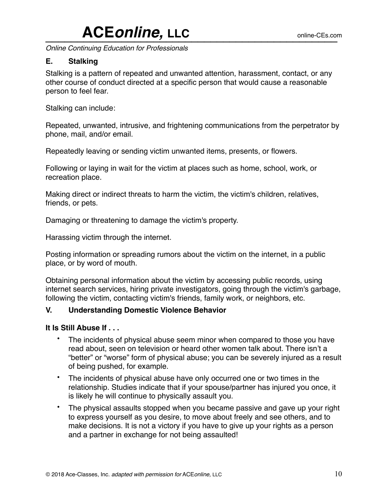*Online Continuing Education for Professionals*

#### **E. Stalking**

Stalking is a pattern of repeated and unwanted attention, harassment, contact, or any other course of conduct directed at a specific person that would cause a reasonable person to feel fear.

Stalking can include:

Repeated, unwanted, intrusive, and frightening communications from the perpetrator by phone, mail, and/or email.

Repeatedly leaving or sending victim unwanted items, presents, or flowers.

Following or laying in wait for the victim at places such as home, school, work, or recreation place.

Making direct or indirect threats to harm the victim, the victim's children, relatives, friends, or pets.

Damaging or threatening to damage the victim's property.

Harassing victim through the internet.

Posting information or spreading rumors about the victim on the internet, in a public place, or by word of mouth.

Obtaining personal information about the victim by accessing public records, using internet search services, hiring private investigators, going through the victim's garbage, following the victim, contacting victim's friends, family work, or neighbors, etc.

#### **V. Understanding Domestic Violence Behavior**

#### **It Is Still Abuse If . . .**

- The incidents of physical abuse seem minor when compared to those you have read about, seen on television or heard other women talk about. There isn't a "better" or "worse" form of physical abuse; you can be severely injured as a result of being pushed, for example.
- The incidents of physical abuse have only occurred one or two times in the relationship. Studies indicate that if your spouse/partner has injured you once, it is likely he will continue to physically assault you.
- The physical assaults stopped when you became passive and gave up your right to express yourself as you desire, to move about freely and see others, and to make decisions. It is not a victory if you have to give up your rights as a person and a partner in exchange for not being assaulted!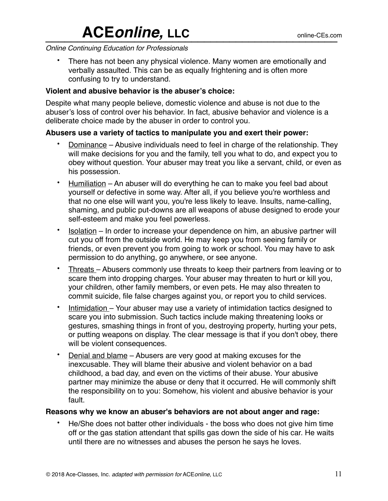#### *Online Continuing Education for Professionals*

• There has not been any physical violence. Many women are emotionally and verbally assaulted. This can be as equally frightening and is often more confusing to try to understand.

#### **Violent and abusive behavior is the abuser's choice:**

Despite what many people believe, domestic violence and abuse is not due to the abuser's loss of control over his behavior. In fact, abusive behavior and violence is a deliberate choice made by the abuser in order to control you.

#### **Abusers use a variety of tactics to manipulate you and exert their power:**

- Dominance Abusive individuals need to feel in charge of the relationship. They will make decisions for you and the family, tell you what to do, and expect you to obey without question. Your abuser may treat you like a servant, child, or even as his possession.
- Humiliation An abuser will do everything he can to make you feel bad about yourself or defective in some way. After all, if you believe you're worthless and that no one else will want you, you're less likely to leave. Insults, name-calling, shaming, and public put-downs are all weapons of abuse designed to erode your self-esteem and make you feel powerless.
- Isolation In order to increase your dependence on him, an abusive partner will cut you off from the outside world. He may keep you from seeing family or friends, or even prevent you from going to work or school. You may have to ask permission to do anything, go anywhere, or see anyone.
- Threats Abusers commonly use threats to keep their partners from leaving or to scare them into dropping charges. Your abuser may threaten to hurt or kill you, your children, other family members, or even pets. He may also threaten to commit suicide, file false charges against you, or report you to child services.
- Intimidation Your abuser may use a variety of intimidation tactics designed to scare you into submission. Such tactics include making threatening looks or gestures, smashing things in front of you, destroying property, hurting your pets, or putting weapons on display. The clear message is that if you don't obey, there will be violent consequences.
- Denial and blame Abusers are very good at making excuses for the inexcusable. They will blame their abusive and violent behavior on a bad childhood, a bad day, and even on the victims of their abuse. Your abusive partner may minimize the abuse or deny that it occurred. He will commonly shift the responsibility on to you: Somehow, his violent and abusive behavior is your fault.

## **Reasons why we know an abuser's behaviors are not about anger and rage:**

• He/She does not batter other individuals - the boss who does not give him time off or the gas station attendant that spills gas down the side of his car. He waits until there are no witnesses and abuses the person he says he loves.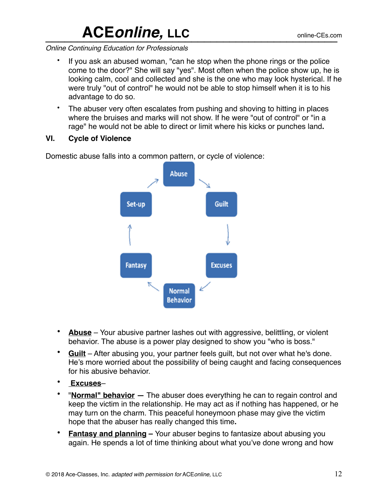#### *Online Continuing Education for Professionals*

- If you ask an abused woman, "can he stop when the phone rings or the police come to the door?" She will say "yes". Most often when the police show up, he is looking calm, cool and collected and she is the one who may look hysterical. If he were truly "out of control" he would not be able to stop himself when it is to his advantage to do so.
- The abuser very often escalates from pushing and shoving to hitting in places where the bruises and marks will not show. If he were "out of control" or "in a rage" he would not be able to direct or limit where his kicks or punches land**.**

#### **VI. Cycle of Violence**

Domestic abuse falls into a common pattern, or cycle of violence:



- **Abuse** Your abusive partner lashes out with aggressive, belittling, or violent behavior. The abuse is a power play designed to show you "who is boss."
- **Guilt** After abusing you, your partner feels guilt, but not over what he's done. He's more worried about the possibility of being caught and facing consequences for his abusive behavior.
- • **Excuses**–
- "**Normal" behavior** The abuser does everything he can to regain control and keep the victim in the relationship. He may act as if nothing has happened, or he may turn on the charm. This peaceful honeymoon phase may give the victim hope that the abuser has really changed this time**.**
- **Fantasy and planning –** Your abuser begins to fantasize about abusing you again. He spends a lot of time thinking about what you've done wrong and how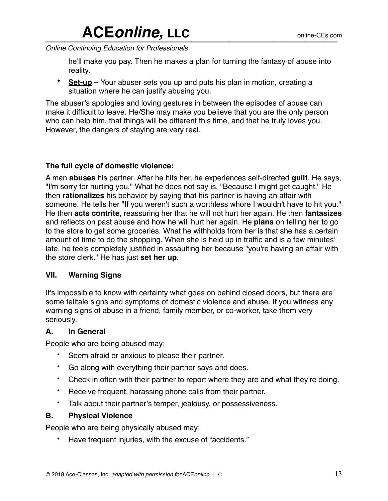*Online Continuing Education for Professionals*

he'll make you pay. Then he makes a plan for turning the fantasy of abuse into reality**.** 

• **Set-up –** Your abuser sets you up and puts his plan in motion, creating a situation where he can justify abusing you.

The abuser's apologies and loving gestures in between the episodes of abuse can make it difficult to leave. He/She may make you believe that you are the only person who can help him, that things will be different this time, and that he truly loves you. However, the dangers of staying are very real.

## **The full cycle of domestic violence:**

A man **abuses** his partner. After he hits her, he experiences self-directed **guilt**. He says, "I'm sorry for hurting you." What he does not say is, "Because I might get caught." He then **rationalizes** his behavior by saying that his partner is having an affair with someone. He tells her "If you weren't such a worthless whore I wouldn't have to hit you." He then **acts contrite**, reassuring her that he will not hurt her again. He then **fantasizes** and reflects on past abuse and how he will hurt her again. He **plans** on telling her to go to the store to get some groceries. What he withholds from her is that she has a certain amount of time to do the shopping. When she is held up in traffic and is a few minutes' late, he feels completely justified in assaulting her because "you're having an affair with the store clerk." He has just **set her up**.

#### **VII. Warning Signs**

It's impossible to know with certainty what goes on behind closed doors, but there are some telltale signs and symptoms of domestic violence and abuse. If you witness any warning signs of abuse in a friend, family member, or co-worker, take them very seriously.

## **A. In General**

People who are being abused may:

- Seem afraid or anxious to please their partner.
- Go along with everything their partner says and does.
- Check in often with their partner to report where they are and what they're doing.
- Receive frequent, harassing phone calls from their partner.
- Talk about their partner's temper, jealousy, or possessiveness.

#### **B. Physical Violence**

People who are being physically abused may:

• Have frequent injuries, with the excuse of "accidents."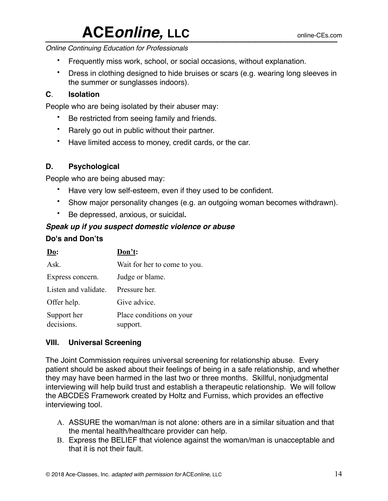*Online Continuing Education for Professionals*

- Frequently miss work, school, or social occasions, without explanation.
- Dress in clothing designed to hide bruises or scars (e.g. wearing long sleeves in the summer or sunglasses indoors).

#### **C**. **Isolation**

People who are being isolated by their abuser may:

- Be restricted from seeing family and friends.
- Rarely go out in public without their partner.
- Have limited access to money, credit cards, or the car.

## **D. Psychological**

People who are being abused may:

- Have very low self-esteem, even if they used to be confident.
- Show major personality changes (e.g. an outgoing woman becomes withdrawn).
- Be depressed, anxious, or suicidal**.**

# *Speak up if you suspect domestic violence or abuse*

#### **Do's and Don'ts**

| Don't:                               |
|--------------------------------------|
| Wait for her to come to you.         |
| Judge or blame.                      |
| Pressure her                         |
| Give advice.                         |
| Place conditions on your<br>support. |
|                                      |

#### **VIII. Universal Screening**

The Joint Commission requires universal screening for relationship abuse. Every patient should be asked about their feelings of being in a safe relationship, and whether they may have been harmed in the last two or three months. Skillful, nonjudgmental interviewing will help build trust and establish a therapeutic relationship. We will follow the ABCDES Framework created by Holtz and Furniss, which provides an effective interviewing tool.

- A. ASSURE the woman/man is not alone: others are in a similar situation and that the mental health/healthcare provider can help.
- B. Express the BELIEF that violence against the woman/man is unacceptable and that it is not their fault.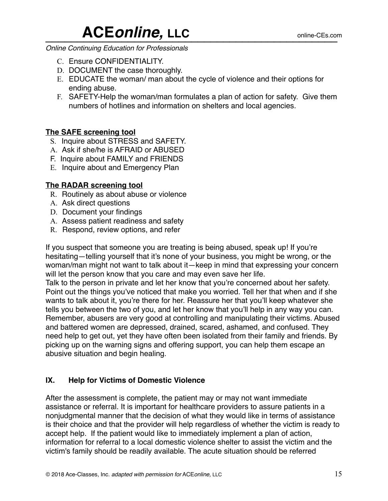#### *Online Continuing Education for Professionals*

- C. Ensure CONFIDENTIALITY.
- D. DOCUMENT the case thoroughly.
- E. EDUCATE the woman/ man about the cycle of violence and their options for ending abuse.
- F. SAFETY-Help the woman/man formulates a plan of action for safety. Give them numbers of hotlines and information on shelters and local agencies.

# **The SAFE screening tool**

- S. Inquire about STRESS and SAFETY.
- A. Ask if she/he is AFRAID or ABUSED
- F. Inquire about FAMILY and FRIENDS
- E. Inquire about and Emergency Plan

# **The RADAR screening tool**

- R. Routinely as about abuse or violence
- A. Ask direct questions
- D. Document your findings
- A. Assess patient readiness and safety
- R. Respond, review options, and refer

If you suspect that someone you are treating is being abused, speak up! If you're hesitating—telling yourself that it's none of your business, you might be wrong, or the woman/man might not want to talk about it—keep in mind that expressing your concern will let the person know that you care and may even save her life.

Talk to the person in private and let her know that you're concerned about her safety. Point out the things you've noticed that make you worried. Tell her that when and if she wants to talk about it, you're there for her. Reassure her that you'll keep whatever she tells you between the two of you, and let her know that you'll help in any way you can. Remember, abusers are very good at controlling and manipulating their victims. Abused and battered women are depressed, drained, scared, ashamed, and confused. They need help to get out, yet they have often been isolated from their family and friends. By picking up on the warning signs and offering support, you can help them escape an abusive situation and begin healing.

# **IX. Help for Victims of Domestic Violence**

After the assessment is complete, the patient may or may not want immediate assistance or referral. It is important for healthcare providers to assure patients in a nonjudgmental manner that the decision of what they would like in terms of assistance is their choice and that the provider will help regardless of whether the victim is ready to accept help. If the patient would like to immediately implement a plan of action, information for referral to a local domestic violence shelter to assist the victim and the victim's family should be readily available. The acute situation should be referred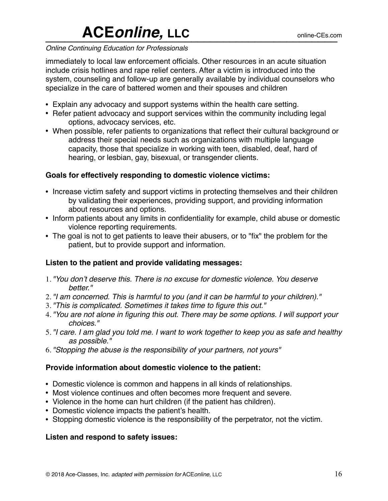#### *Online Continuing Education for Professionals*

immediately to local law enforcement officials. Other resources in an acute situation include crisis hotlines and rape relief centers. After a victim is introduced into the system, counseling and follow-up are generally available by individual counselors who specialize in the care of battered women and their spouses and children

- Explain any advocacy and support systems within the health care setting.
- Refer patient advocacy and support services within the community including legal options, advocacy services, etc.
- When possible, refer patients to organizations that reflect their cultural background or address their special needs such as organizations with multiple language capacity, those that specialize in working with teen, disabled, deaf, hard of hearing, or lesbian, gay, bisexual, or transgender clients.

# **Goals for effectively responding to domestic violence victims:**

- Increase victim safety and support victims in protecting themselves and their children by validating their experiences, providing support, and providing information about resources and options.
- Inform patients about any limits in confidentiality for example, child abuse or domestic violence reporting requirements.
- The goal is not to get patients to leave their abusers, or to "fix" the problem for the patient, but to provide support and information.

# **Listen to the patient and provide validating messages:**

- 1.*"You don't deserve this. There is no excuse for domestic violence. You deserve better."*
- 2.*"I am concerned. This is harmful to you (and it can be harmful to your children)."*
- 3.*"This is complicated. Sometimes it takes time to figure this out."*
- 4.*"You are not alone in figuring this out. There may be some options. I will support your choices."*
- 5.*"I care. I am glad you told me. I want to work together to keep you as safe and healthy as possible."*
- 6.*"Stopping the abuse is the responsibility of your partners, not yours"*

## **Provide information about domestic violence to the patient:**

- Domestic violence is common and happens in all kinds of relationships.
- Most violence continues and often becomes more frequent and severe.
- Violence in the home can hurt children (if the patient has children).
- Domestic violence impacts the patient's health.
- Stopping domestic violence is the responsibility of the perpetrator, not the victim.

## **Listen and respond to safety issues:**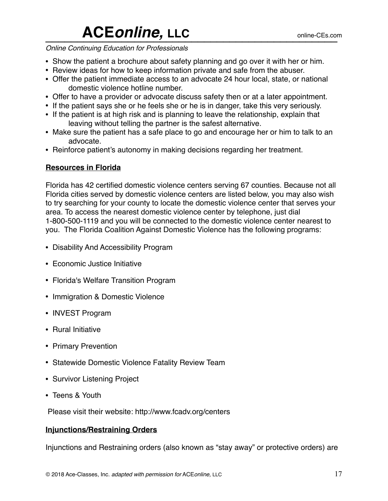*Online Continuing Education for Professionals*

- Show the patient a brochure about safety planning and go over it with her or him.
- Review ideas for how to keep information private and safe from the abuser.
- Offer the patient immediate access to an advocate 24 hour local, state, or national domestic violence hotline number.
- Offer to have a provider or advocate discuss safety then or at a later appointment.
- If the patient says she or he feels she or he is in danger, take this very seriously.
- If the patient is at high risk and is planning to leave the relationship, explain that leaving without telling the partner is the safest alternative.
- Make sure the patient has a safe place to go and encourage her or him to talk to an advocate.
- Reinforce patient's autonomy in making decisions regarding her treatment.

#### **Resources in Florida**

Florida has 42 certified domestic violence centers serving 67 counties. Because not all Florida cities served by domestic violence centers are listed below, you may also wish to try searching for your county to locate the domestic violence center that serves your area. To access the nearest domestic violence center by telephone, just dial 1-800-500-1119 and you will be connected to the domestic violence center nearest to you. The Florida Coalition Against Domestic Violence has the following programs:

- [Disability And Accessibility Program](http://www.fcadv.org/projects-programs/disabilities-program)
- [Economic Justice Initiative](http://www.fcadv.org/projects-programs/economic-justice-initiative)
- [Florida's Welfare Transition Program](http://www.fcadv.org/projects-programs/florida-welfare-transition-program)
- [Immigration & Domestic Violence](http://www.fcadv.org/projects-programs/immigration-domestic-violence)
- [INVEST Program](http://www.fcadv.org/projects-programs/invest-program)
- [Rural Initiative](http://www.fcadv.org/projects-programs/rural-initiative)
- [Primary Prevention](http://www.fcadv.org/projects-programs/primary-prevention)
- [Statewide Domestic Violence Fatality Review Team](http://www.fcadv.org/projects-programs/sdvfrt)
- [Survivor Listening Project](http://www.fcadv.org/projects-programs/survivor-listening-project)
- [Teens & Youth](http://www.fcadv.org/projects-programs/teen-dating-violence)

Please visit their website:<http://www.fcadv.org/centers>

#### **Injunctions/Restraining Orders**

Injunctions and Restraining orders (also known as "stay away" or protective orders) are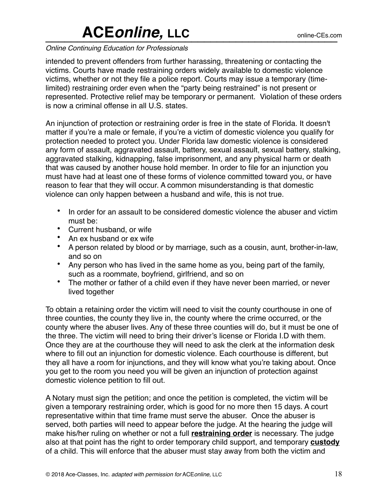*Online Continuing Education for Professionals*

intended to prevent offenders from further harassing, threatening or contacting the victims. Courts have made restraining orders widely available to domestic violence victims, whether or not they file a police report. Courts may issue a temporary (timelimited) restraining order even when the "party being restrained" is not present or represented. Protective relief may be temporary or permanent. Violation of these orders is now a criminal offense in all U.S. states.

An injunction of protection or restraining order is free in the state of Florida. It doesn't matter if you're a male or female, if you're a victim of domestic violence you qualify for protection needed to protect you. Under Florida law domestic violence is considered any form of assault, aggravated assault, battery, sexual assault, sexual battery, stalking, aggravated stalking, kidnapping, false imprisonment, and any physical harm or death that was caused by another house hold member. In order to file for an injunction you must have had at least one of these forms of violence committed toward you, or have reason to fear that they will occur. A common misunderstanding is that domestic violence can only happen between a husband and wife, this is not true.

- In order for an assault to be considered domestic violence the abuser and victim must be:
- Current husband, or wife
- An ex husband or ex wife
- A person related by blood or by marriage, such as a cousin, aunt, brother-in-law, and so on
- Any person who has lived in the same home as you, being part of the family, such as a roommate, boyfriend, girlfriend, and so on
- The mother or father of a child even if they have never been married, or never lived together

To obtain a retaining order the victim will need to visit the county courthouse in one of three counties, the county they live in, the county where the crime occurred, or the county where the abuser lives. Any of these three counties will do, but it must be one of the three. The victim will need to bring their driver's license or Florida I.D with them. Once they are at the courthouse they will need to ask the clerk at the information desk where to fill out an injunction for domestic violence. Each courthouse is different, but they all have a room for injunctions, and they will know what you're taking about. Once you get to the room you need you will be given an injunction of protection against domestic violence petition to fill out.

A Notary must sign the petition; and once the petition is completed, the victim will be given a temporary restraining order, which is good for no more then 15 days. A court representative within that time frame must serve the abuser. Once the abuser is served, both parties will need to appear before the judge. At the hearing the judge will make his/her ruling on whether or not a full **[restraining order](http://www.associatedcontent.com/topic/37591/restraining_order.html)** is necessary. The judge also at that point has the right to order temporary child support, and temporary **[custody](http://www.associatedcontent.com/theme/406/custody.html)** of a child. This will enforce that the abuser must stay away from both the victim and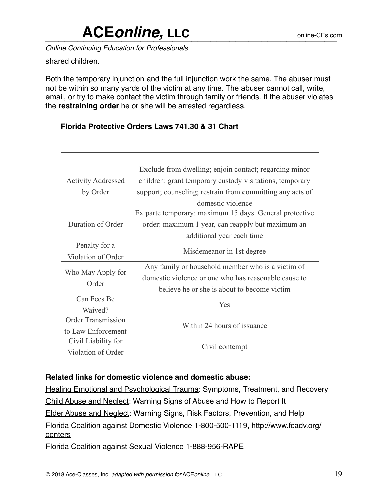*Online Continuing Education for Professionals*

shared children.

Both the temporary injunction and the full injunction work the same. The abuser must not be within so many yards of the victim at any time. The abuser cannot call, write, email, or try to make contact the victim through family or friends. If the abuser violates the **[restraining order](http://www.associatedcontent.com/topic/37591/restraining_order.html)** he or she will be arrested regardless.

# **Florida Protective Orders Laws 741.30 & 31 Chart**

|                            | Exclude from dwelling; enjoin contact; regarding minor    |  |  |  |  |  |
|----------------------------|-----------------------------------------------------------|--|--|--|--|--|
| <b>Activity Addressed</b>  | children: grant temporary custody visitations, temporary  |  |  |  |  |  |
| by Order                   | support; counseling; restrain from committing any acts of |  |  |  |  |  |
|                            | domestic violence                                         |  |  |  |  |  |
|                            | Ex parte temporary: maximum 15 days. General protective   |  |  |  |  |  |
| Duration of Order          | order: maximum 1 year, can reapply but maximum an         |  |  |  |  |  |
|                            | additional year each time                                 |  |  |  |  |  |
| Penalty for a              |                                                           |  |  |  |  |  |
| Violation of Order         | Misdemeanor in 1st degree                                 |  |  |  |  |  |
| Who May Apply for<br>Order | Any family or household member who is a victim of         |  |  |  |  |  |
|                            | domestic violence or one who has reasonable cause to      |  |  |  |  |  |
|                            | believe he or she is about to become victim               |  |  |  |  |  |
| Can Fees Be                | Yes                                                       |  |  |  |  |  |
| Waived?                    |                                                           |  |  |  |  |  |
| <b>Order Transmission</b>  | Within 24 hours of issuance                               |  |  |  |  |  |
| to Law Enforcement         |                                                           |  |  |  |  |  |
| Civil Liability for        | Civil contempt                                            |  |  |  |  |  |
| Violation of Order         |                                                           |  |  |  |  |  |

# **Related links for domestic violence and domestic abuse:**

[Healing Emotional and Psychological Trauma](http://www.helpguide.org/mental/emotional_psychological_trauma.htm): Symptoms, Treatment, and Recovery [Child Abuse and Neglect](http://www.helpguide.org/mental/child_abuse_physical_emotional_sexual_neglect.htm): Warning Signs of Abuse and How to Report It [Elder Abuse and Neglect](http://www.helpguide.org/mental/elder_abuse_physical_emotional_sexual_neglect.htm): Warning Signs, Risk Factors, Prevention, and Help Florida Coalition against Domestic Violence 1-800-500-1119, [http://www.fcadv.org/](http://www.fcadv.org/centers) [centers](http://www.fcadv.org/centers)

Florida Coalition against Sexual Violence 1-888-956-RAPE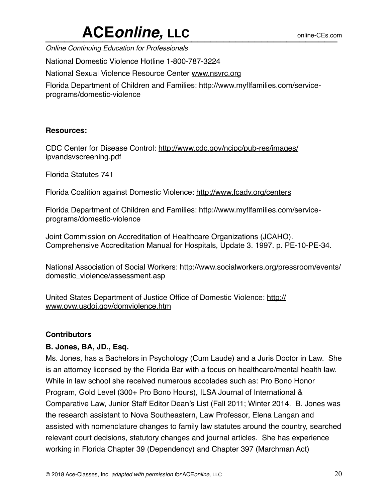*Online Continuing Education for Professionals*

National Domestic Violence Hotline 1-800-787-3224

National Sexual Violence Resource Center [www.nsvrc.org](http://www.nsvrc.org)

Florida Department of Children and Families: [http://www.myflfamilies.com/service](http://www.myflfamilies.com/service-programs/domestic-violence)[programs/domestic-violence](http://www.myflfamilies.com/service-programs/domestic-violence)

#### **Resources:**

CDC Center for Disease Control: [http://www.cdc.gov/ncipc/pub-res/images/](http://www.cdc.gov/ncipc/pub-res/images/ipvandsvscreening.pdf) [ipvandsvscreening.pdf](http://www.cdc.gov/ncipc/pub-res/images/ipvandsvscreening.pdf)

Florida Statutes 741

Florida Coalition against Domestic Violence: <http://www.fcadv.org/centers>

Florida Department of Children and Families: [http://www.myflfamilies.com/service](http://www.myflfamilies.com/service-programs/domestic-violence)[programs/domestic-violence](http://www.myflfamilies.com/service-programs/domestic-violence)

Joint Commission on Accreditation of Healthcare Organizations (JCAHO). Comprehensive Accreditation Manual for Hospitals, Update 3. 1997. p. PE-10-PE-34.

National Association of Social Workers: [http://www.socialworkers.org/pressroom/events/](http://www.socialworkers.org/pressroom/events/domestic_violence/assessment.asp) [domestic\\_violence/assessment.asp](http://www.socialworkers.org/pressroom/events/domestic_violence/assessment.asp)

United States Department of Justice Office of Domestic Violence: [http://](http://www.ovw.usdoj.gov/domviolence.htm) [www.ovw.usdoj.gov/domviolence.htm](http://www.ovw.usdoj.gov/domviolence.htm)

## **Contributors**

## **B. Jones, BA, JD., Esq.**

Ms. Jones, has a Bachelors in Psychology (Cum Laude) and a Juris Doctor in Law. She is an attorney licensed by the Florida Bar with a focus on healthcare/mental health law. While in law school she received numerous accolades such as: Pro Bono Honor Program, Gold Level (300+ Pro Bono Hours), ILSA Journal of International & Comparative Law, Junior Staff Editor Dean's List (Fall 2011; Winter 2014. B. Jones was the research assistant to Nova Southeastern, Law Professor, Elena Langan and assisted with nomenclature changes to family law statutes around the country, searched relevant court decisions, statutory changes and journal articles. She has experience working in Florida Chapter 39 (Dependency) and Chapter 397 (Marchman Act)